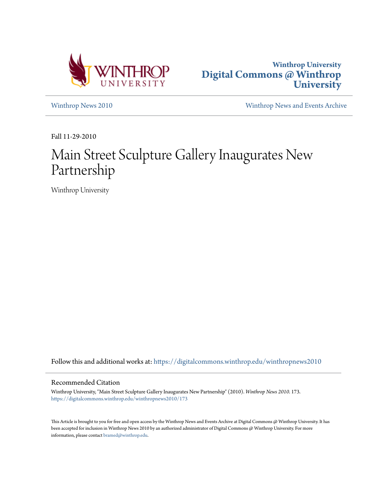



[Winthrop News 2010](https://digitalcommons.winthrop.edu/winthropnews2010?utm_source=digitalcommons.winthrop.edu%2Fwinthropnews2010%2F173&utm_medium=PDF&utm_campaign=PDFCoverPages) [Winthrop News and Events Archive](https://digitalcommons.winthrop.edu/winthropnewsarchives?utm_source=digitalcommons.winthrop.edu%2Fwinthropnews2010%2F173&utm_medium=PDF&utm_campaign=PDFCoverPages)

Fall 11-29-2010

# Main Street Sculpture Gallery Inaugurates New Partnership

Winthrop University

Follow this and additional works at: [https://digitalcommons.winthrop.edu/winthropnews2010](https://digitalcommons.winthrop.edu/winthropnews2010?utm_source=digitalcommons.winthrop.edu%2Fwinthropnews2010%2F173&utm_medium=PDF&utm_campaign=PDFCoverPages)

### Recommended Citation

Winthrop University, "Main Street Sculpture Gallery Inaugurates New Partnership" (2010). *Winthrop News 2010*. 173. [https://digitalcommons.winthrop.edu/winthropnews2010/173](https://digitalcommons.winthrop.edu/winthropnews2010/173?utm_source=digitalcommons.winthrop.edu%2Fwinthropnews2010%2F173&utm_medium=PDF&utm_campaign=PDFCoverPages)

This Article is brought to you for free and open access by the Winthrop News and Events Archive at Digital Commons @ Winthrop University. It has been accepted for inclusion in Winthrop News 2010 by an authorized administrator of Digital Commons @ Winthrop University. For more information, please contact [bramed@winthrop.edu](mailto:bramed@winthrop.edu).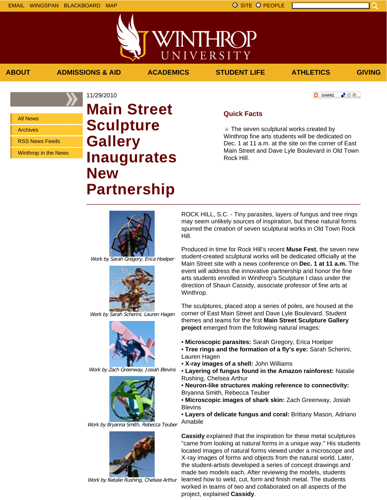INTHRC UNIVERSITY

**ABOUT ADMISSIONS & AID ACADEMICS STUDENT LIFE ATHLETICS GIVING**

All News

Archives

RSS News Feeds

Winthrop in the News

## 11/29/2010 **Main Street Sculpture Gallery Inaugurates New Partnership**

**O** SHARE ■ 80 ●

### **Quick Facts**

**The seven sculptural works created by** Winthrop fine arts students will be dedicated on Dec. 1 at 11 a.m. at the site on the corner of East Main Street and Dave Lyle Boulevard in Old Town Rock Hill.



Work by Sarah Gregory, Erica Hoelper



Work by Sarah Scherini, Lauren Hagen



Work by Zach Greenway, Josiah Blevins



Work by Bryanna Smith, Rebecca Teuber



Work by Natalie Rushing, Chelsea Arthur

ROCK HILL, S.C. - Tiny parasites, layers of fungus and tree rings may seem unlikely sources of inspiration, but these natural forms spurred the creation of seven sculptural works in Old Town Rock Hill.

Produced in time for Rock Hill's recent **Muse Fest**, the seven new student-created sculptural works will be dedicated officially at the Main Street site with a news conference on **Dec. 1 at 11 a.m.** The event will address the innovative partnership and honor the fine arts students enrolled in Winthrop's Sculpture I class under the direction of Shaun Cassidy, associate professor of fine arts at Winthrop.

The sculptures, placed atop a series of poles, are housed at the corner of East Main Street and Dave Lyle Boulevard. Student themes and teams for the first **Main Street Sculpture Gallery project** emerged from the following natural images:

- **Microscopic parasites:** Sarah Gregory, Erica Hoelper
- **Tree rings and the formation of a fly's eye:** Sarah Scherini, Lauren Hagen
- **X-ray images of a shell:** John Williams
- **Layering of fungus found in the Amazon rainforest:** Natalie Rushing, Chelsea Arthur
- **Neuron-like structures making reference to connectivity:** Bryanna Smith, Rebecca Teuber

• **Microscopic images of shark skin:** Zach Greenway, Josiah **Blevins** 

• **Layers of delicate fungus and coral:** Brittany Mason, Adriano Amabile

**Cassidy** explained that the inspiration for these metal sculptures "came from looking at natural forms in a unique way." His students located images of natural forms viewed under a microscope and X-ray images of forms and objects from the natural world. Later, the student-artists developed a series of concept drawings and made two models each. After reviewing the models, students learned how to weld, cut, form and finish metal. The students worked in teams of two and collaborated on all aspects of the project, explained **Cassidy**.